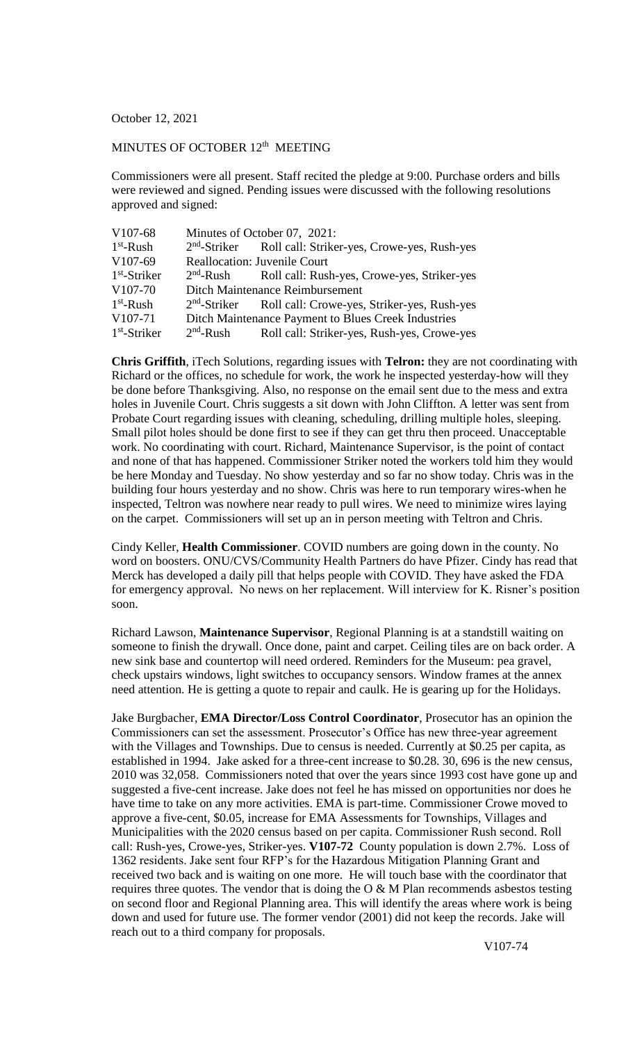## October 12, 2021

## MINUTES OF OCTOBER 12<sup>th</sup> MEETING

Commissioners were all present. Staff recited the pledge at 9:00. Purchase orders and bills were reviewed and signed. Pending issues were discussed with the following resolutions approved and signed:

| V <sub>107</sub> -68 |                                     | Minutes of October 07, 2021:                                         |
|----------------------|-------------------------------------|----------------------------------------------------------------------|
| $1st$ -Rush          |                                     | 2 <sup>nd</sup> -Striker Roll call: Striker-yes, Crowe-yes, Rush-yes |
| V <sub>107</sub> -69 | <b>Reallocation: Juvenile Court</b> |                                                                      |
| $1st$ -Striker       |                                     | 2 <sup>nd</sup> -Rush Roll call: Rush-yes, Crowe-yes, Striker-yes    |
| V <sub>107-70</sub>  | Ditch Maintenance Reimbursement     |                                                                      |
| $1st$ -Rush          |                                     | 2 <sup>nd</sup> -Striker Roll call: Crowe-yes, Striker-yes, Rush-yes |
| V <sub>107-71</sub>  |                                     | Ditch Maintenance Payment to Blues Creek Industries                  |
| $1st$ -Striker       | $2nd$ -Rush                         | Roll call: Striker-yes, Rush-yes, Crowe-yes                          |

**Chris Griffith**, iTech Solutions, regarding issues with **Telron:** they are not coordinating with Richard or the offices, no schedule for work, the work he inspected yesterday-how will they be done before Thanksgiving. Also, no response on the email sent due to the mess and extra holes in Juvenile Court. Chris suggests a sit down with John Cliffton. A letter was sent from Probate Court regarding issues with cleaning, scheduling, drilling multiple holes, sleeping. Small pilot holes should be done first to see if they can get thru then proceed. Unacceptable work. No coordinating with court. Richard, Maintenance Supervisor, is the point of contact and none of that has happened. Commissioner Striker noted the workers told him they would be here Monday and Tuesday. No show yesterday and so far no show today. Chris was in the building four hours yesterday and no show. Chris was here to run temporary wires-when he inspected, Teltron was nowhere near ready to pull wires. We need to minimize wires laying on the carpet. Commissioners will set up an in person meeting with Teltron and Chris.

Cindy Keller, **Health Commissioner**. COVID numbers are going down in the county. No word on boosters. ONU/CVS/Community Health Partners do have Pfizer. Cindy has read that Merck has developed a daily pill that helps people with COVID. They have asked the FDA for emergency approval. No news on her replacement. Will interview for K. Risner's position soon.

Richard Lawson, **Maintenance Supervisor**, Regional Planning is at a standstill waiting on someone to finish the drywall. Once done, paint and carpet. Ceiling tiles are on back order. A new sink base and countertop will need ordered. Reminders for the Museum: pea gravel, check upstairs windows, light switches to occupancy sensors. Window frames at the annex need attention. He is getting a quote to repair and caulk. He is gearing up for the Holidays.

Jake Burgbacher, **EMA Director/Loss Control Coordinator**, Prosecutor has an opinion the Commissioners can set the assessment. Prosecutor's Office has new three-year agreement with the Villages and Townships. Due to census is needed. Currently at \$0.25 per capita, as established in 1994. Jake asked for a three-cent increase to \$0.28. 30, 696 is the new census, 2010 was 32,058. Commissioners noted that over the years since 1993 cost have gone up and suggested a five-cent increase. Jake does not feel he has missed on opportunities nor does he have time to take on any more activities. EMA is part-time. Commissioner Crowe moved to approve a five-cent, \$0.05, increase for EMA Assessments for Townships, Villages and Municipalities with the 2020 census based on per capita. Commissioner Rush second. Roll call: Rush-yes, Crowe-yes, Striker-yes. **V107-72** County population is down 2.7%. Loss of 1362 residents. Jake sent four RFP's for the Hazardous Mitigation Planning Grant and received two back and is waiting on one more. He will touch base with the coordinator that requires three quotes. The vendor that is doing the  $O & M$  Plan recommends asbestos testing on second floor and Regional Planning area. This will identify the areas where work is being down and used for future use. The former vendor (2001) did not keep the records. Jake will reach out to a third company for proposals.

V107-74